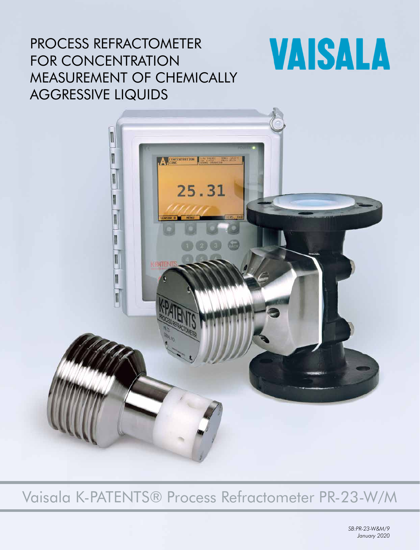## PROCESS REFRACTOMETER FOR CONCENTRATION MEASUREMENT OF CHEMICALLY AGGRESSIVE LIQUIDS

# **VAISALA**



Vaisala K-PATENTS® Process Refractometer PR-23-W/M

*SB:PR-23-W&M/9 January 2020*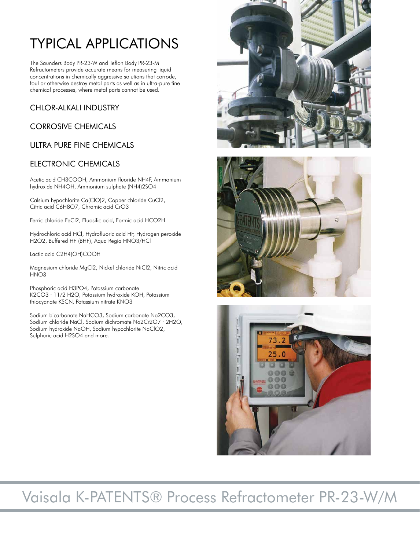## TYPICAL APPLICATIONS

The Saunders Body PR-23-W and Teflon Body PR-23-M Refractometers provide accurate means for measuring liquid concentrations in chemically aggressive solutions that corrode, foul or otherwise destroy metal parts as well as in ultra-pure fine chemical processes, where metal parts cannot be used.

## CHLOR-ALKALI INDUSTRY

#### CORROSIVE CHEMICALS

## ULTRA PURE FINE CHEMICALS

#### ELECTRONIC CHEMICALS

Acetic acid CH3COOH, Ammonium fluoride NH4F, Ammonium hydroxide NH4OH, Ammonium sulphate (NH4)2SO4

Calsium hypochlorite Ca(ClO)2, Copper chloride CuCl2, Citric acid C6H8O7, Chromic acid CrO3

Ferric chloride FeCl2, Fluosilic acid, Formic acid HCO2H

Hydrochloric acid HCl, Hydrofluoric acid HF, Hydrogen peroxide H2O2, Buffered HF (BHF), Aqua Regia HNO3/HCl

Lactic acid C2H4(OH)COOH

Magnesium chloride MgCl2, Nickel chloride NiCl2, Nitric acid HNO<sub>3</sub>

Phosphoric acid H3PO4, Potassium carbonate K2CO3 · 11/2 H2O, Potassium hydroxide KOH, Potassium thiocyanate KSCN, Potassium nitrate KNO3

Sodium bicarbonate NaHCO3, Sodium carbonate Na2CO3, Sodium chloride NaCl, Sodium dichromate Na2Cr2O7 · 2H2O, Sodium hydroxide NaOH, Sodium hypochlorite NaClO2, Sulphuric acid H2SO4 and more.







## Vaisala K-PATENTS® Process Refractometer PR-23-W/M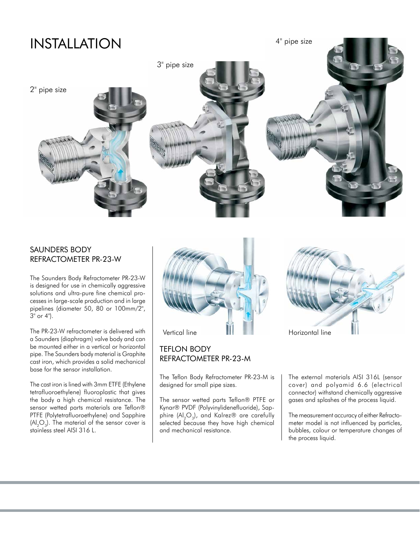## INSTALLATION

4" pipe size



#### SAUNDERS BODY REFRACTOMETER PR-23-W

The Saunders Body Refractometer PR-23-W is designed for use in chemically aggressive solutions and ultra-pure fine chemical processes in large-scale production and in large pipelines (diameter 50, 80 or 100mm/2", 3" or 4").

The PR-23-W refractometer is delivered with a Saunders (diaphragm) valve body and can be mounted either in a vertical or horizontal pipe. The Saunders body material is Graphite cast iron, which provides a solid mechanical base for the sensor installation.

The cast iron is lined with 3mm ETFE (Ethylene tetrafluoroethylene) fluoroplastic that gives the body a high chemical resistance. The sensor wetted parts materials are Teflon® PTFE (Polytetrafluoroethylene) and Sapphire  $(Al_2O_3)$ . The material of the sensor cover is stainless steel AISI 316 L.



#### TEFLON BODY REFRACTOMETER PR-23-M

The Teflon Body Refractometer PR-23-M is designed for small pipe sizes.

The sensor wetted parts Teflon® PTFE or Kynar® PVDF (Polyvinylidenefluoride), Sapphire  $(Al_2O_3)$ , and Kalrez® are carefully selected because they have high chemical and mechanical resistance.



The external materials AISI 316L (sensor cover) and polyamid 6.6 (electrical connector) withstand chemically aggressive gases and splashes of the process liquid.

The measurement accuracy of either Refractometer model is not influenced by particles, bubbles, colour or temperature changes of the process liquid.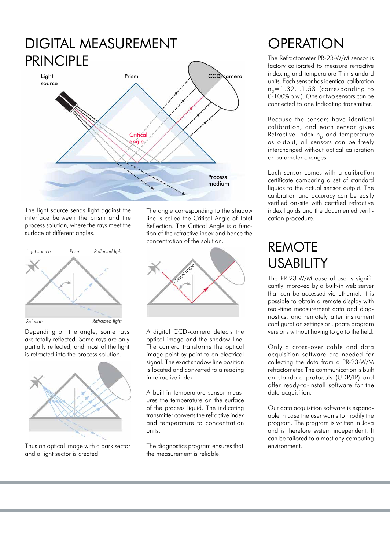

The light source sends light against the interface between the prism and the process solution, where the rays meet the surface at different angles.



Depending on the angle, some rays are totally reflected. Some rays are only partially reflected, and most of the light is refracted into the process solution.



Thus an optical image with a dark sector and a light sector is created.

The angle corresponding to the shadow line is called the Critical Angle of Total Reflection. The Critical Angle is a function of the refractive index and hence the concentration of the solution.



A digital CCD-camera detects the optical image and the shadow line. The camera transforms the optical image point-by-point to an electrical signal. The exact shadow line position is located and converted to a reading in refractive index.

A built-in temperature sensor measures the temperature on the surface of the process liquid. The indicating transmitter converts the refractive index and temperature to concentration units.

The diagnostics program ensures that the measurement is reliable.

## **OPERATION**

The Refractometer PR-23-W/M sensor is factory calibrated to measure refractive index  $n_p$  and temperature T in standard units. Each sensor has identical calibration  $n_p=1.32...1.53$  (corresponding to 0-100% b.w.). One or two sensors can be connected to one Indicating transmitter.

Because the sensors have identical calibration, and each sensor gives Refractive Index  $n_p$  and temperature as output, all sensors can be freely interchanged without optical calibration or parameter changes.

Each sensor comes with a calibration certificate comparing a set of standard liquids to the actual sensor output. The calibration and accuracy can be easily verified on-site with certified refractive index liquids and the documented verification procedure.

## REMOTE USABILITY

The PR-23-W/M ease-of-use is significantly improved by a built-in web server that can be accessed via Ethernet. It is possible to obtain a remote display with real-time measurement data and diagnostics, and remotely alter instrument configuration settings or update program versions without having to go to the field.

Only a cross-over cable and data acquisition software are needed for collecting the data from a PR-23-W/M refractometer. The communication is built on standard protocols (UDP/IP) and offer ready-to-install software for the data acquisition.

Our data acquisition software is expandable in case the user wants to modify the program. The program is written in Java and is therefore system independent. It can be tailored to almost any computing environment.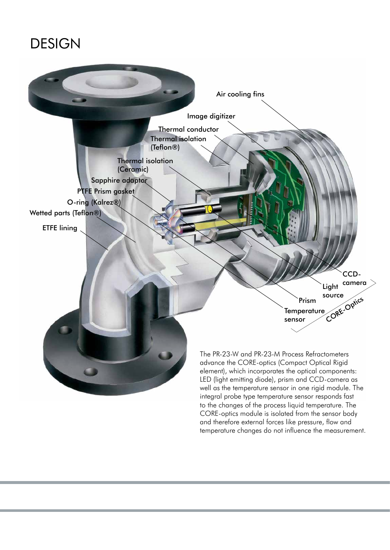## DESIGN



CORE-optics module is isolated from the sensor body and therefore external forces like pressure, flow and temperature changes do not influence the measurement.